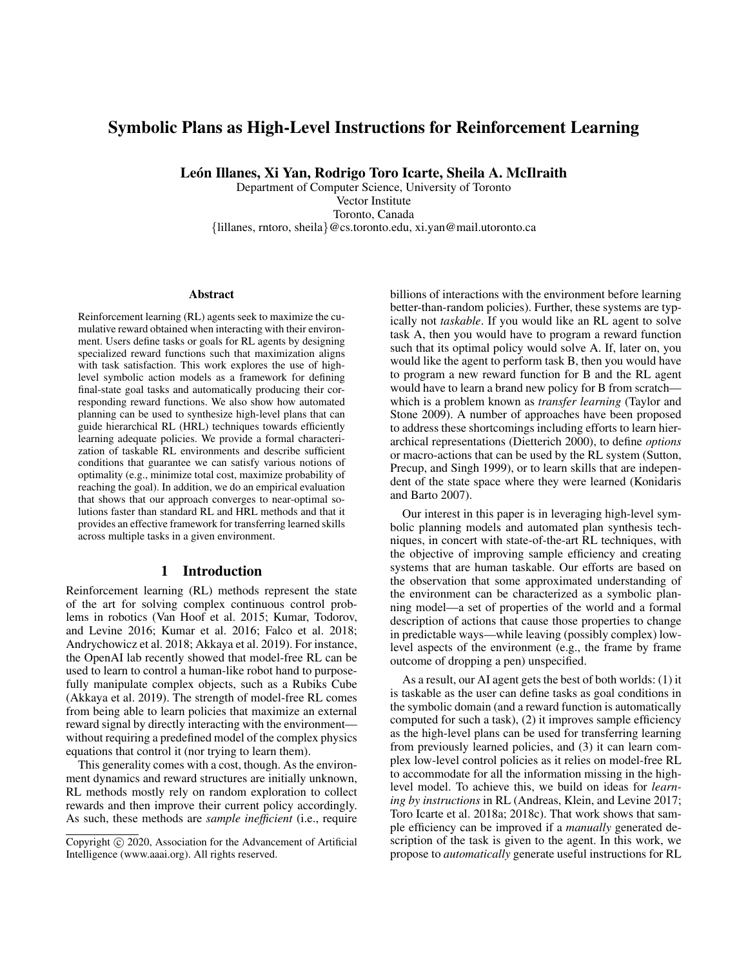# Symbolic Plans as High-Level Instructions for Reinforcement Learning

León Illanes, Xi Yan, Rodrigo Toro Icarte, Sheila A. McIlraith

Department of Computer Science, University of Toronto Vector Institute Toronto, Canada {lillanes, rntoro, sheila}@cs.toronto.edu, xi.yan@mail.utoronto.ca

#### Abstract

Reinforcement learning (RL) agents seek to maximize the cumulative reward obtained when interacting with their environment. Users define tasks or goals for RL agents by designing specialized reward functions such that maximization aligns with task satisfaction. This work explores the use of highlevel symbolic action models as a framework for defining final-state goal tasks and automatically producing their corresponding reward functions. We also show how automated planning can be used to synthesize high-level plans that can guide hierarchical RL (HRL) techniques towards efficiently learning adequate policies. We provide a formal characterization of taskable RL environments and describe sufficient conditions that guarantee we can satisfy various notions of optimality (e.g., minimize total cost, maximize probability of reaching the goal). In addition, we do an empirical evaluation that shows that our approach converges to near-optimal solutions faster than standard RL and HRL methods and that it provides an effective framework for transferring learned skills across multiple tasks in a given environment.

# 1 Introduction

Reinforcement learning (RL) methods represent the state of the art for solving complex continuous control problems in robotics (Van Hoof et al. 2015; Kumar, Todorov, and Levine 2016; Kumar et al. 2016; Falco et al. 2018; Andrychowicz et al. 2018; Akkaya et al. 2019). For instance, the OpenAI lab recently showed that model-free RL can be used to learn to control a human-like robot hand to purposefully manipulate complex objects, such as a Rubiks Cube (Akkaya et al. 2019). The strength of model-free RL comes from being able to learn policies that maximize an external reward signal by directly interacting with the environment without requiring a predefined model of the complex physics equations that control it (nor trying to learn them).

This generality comes with a cost, though. As the environment dynamics and reward structures are initially unknown, RL methods mostly rely on random exploration to collect rewards and then improve their current policy accordingly. As such, these methods are *sample inefficient* (i.e., require billions of interactions with the environment before learning better-than-random policies). Further, these systems are typically not *taskable*. If you would like an RL agent to solve task A, then you would have to program a reward function such that its optimal policy would solve A. If, later on, you would like the agent to perform task B, then you would have to program a new reward function for B and the RL agent would have to learn a brand new policy for B from scratch which is a problem known as *transfer learning* (Taylor and Stone 2009). A number of approaches have been proposed to address these shortcomings including efforts to learn hierarchical representations (Dietterich 2000), to define *options* or macro-actions that can be used by the RL system (Sutton, Precup, and Singh 1999), or to learn skills that are independent of the state space where they were learned (Konidaris and Barto 2007).

Our interest in this paper is in leveraging high-level symbolic planning models and automated plan synthesis techniques, in concert with state-of-the-art RL techniques, with the objective of improving sample efficiency and creating systems that are human taskable. Our efforts are based on the observation that some approximated understanding of the environment can be characterized as a symbolic planning model—a set of properties of the world and a formal description of actions that cause those properties to change in predictable ways—while leaving (possibly complex) lowlevel aspects of the environment (e.g., the frame by frame outcome of dropping a pen) unspecified.

As a result, our AI agent gets the best of both worlds: (1) it is taskable as the user can define tasks as goal conditions in the symbolic domain (and a reward function is automatically computed for such a task), (2) it improves sample efficiency as the high-level plans can be used for transferring learning from previously learned policies, and (3) it can learn complex low-level control policies as it relies on model-free RL to accommodate for all the information missing in the highlevel model. To achieve this, we build on ideas for *learning by instructions* in RL (Andreas, Klein, and Levine 2017; Toro Icarte et al. 2018a; 2018c). That work shows that sample efficiency can be improved if a *manually* generated description of the task is given to the agent. In this work, we propose to *automatically* generate useful instructions for RL

Copyright (c) 2020, Association for the Advancement of Artificial Intelligence (www.aaai.org). All rights reserved.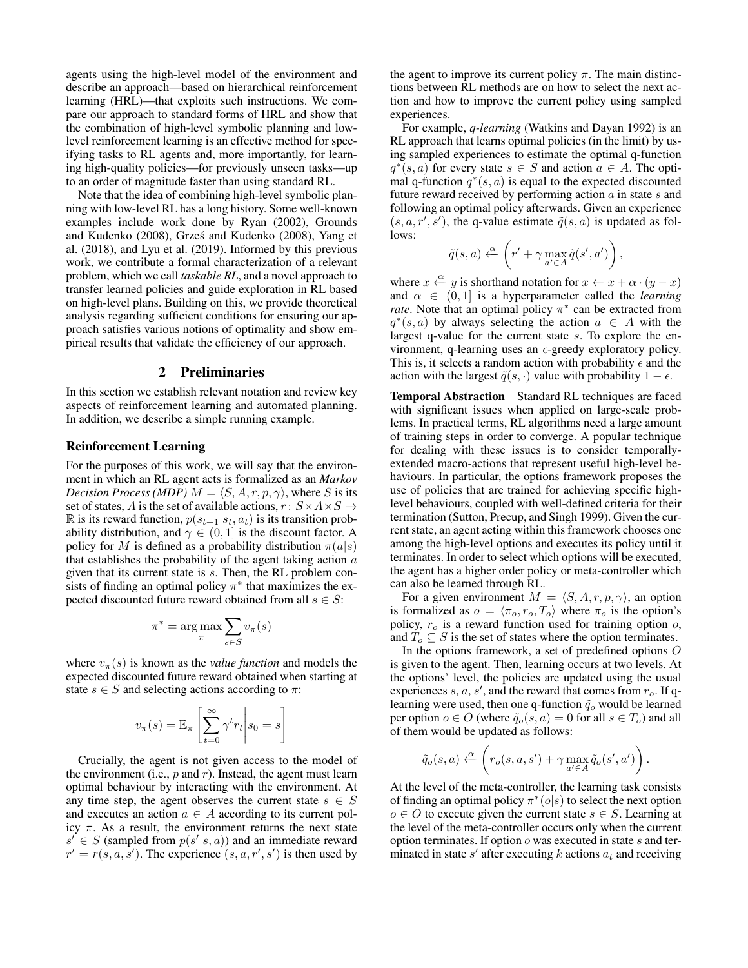agents using the high-level model of the environment and describe an approach—based on hierarchical reinforcement learning (HRL)—that exploits such instructions. We compare our approach to standard forms of HRL and show that the combination of high-level symbolic planning and lowlevel reinforcement learning is an effective method for specifying tasks to RL agents and, more importantly, for learning high-quality policies—for previously unseen tasks—up to an order of magnitude faster than using standard RL.

Note that the idea of combining high-level symbolic planning with low-level RL has a long history. Some well-known examples include work done by Ryan (2002), Grounds and Kudenko (2008), Grzes and Kudenko (2008), Yang et ´ al. (2018), and Lyu et al. (2019). Informed by this previous work, we contribute a formal characterization of a relevant problem, which we call *taskable RL*, and a novel approach to transfer learned policies and guide exploration in RL based on high-level plans. Building on this, we provide theoretical analysis regarding sufficient conditions for ensuring our approach satisfies various notions of optimality and show empirical results that validate the efficiency of our approach.

# 2 Preliminaries

In this section we establish relevant notation and review key aspects of reinforcement learning and automated planning. In addition, we describe a simple running example.

### Reinforcement Learning

For the purposes of this work, we will say that the environment in which an RL agent acts is formalized as an *Markov Decision Process (MDP)*  $M = \langle S, A, r, p, \gamma \rangle$ , where S is its set of states, A is the set of available actions,  $r: S \times A \times S \rightarrow$ R is its reward function,  $p(s_{t+1}|s_t, a_t)$  is its transition probability distribution, and  $\gamma \in (0, 1]$  is the discount factor. A policy for M is defined as a probability distribution  $\pi(a|s)$ that establishes the probability of the agent taking action  $\alpha$ given that its current state is s. Then, the RL problem consists of finding an optimal policy  $\pi^*$  that maximizes the expected discounted future reward obtained from all  $s \in S$ :

$$
\pi^* = \arg\max_{\pi} \sum_{s \in S} v_{\pi}(s)
$$

where  $v_\pi(s)$  is known as the *value function* and models the expected discounted future reward obtained when starting at state  $s \in S$  and selecting actions according to  $\pi$ :

$$
v_{\pi}(s) = \mathbb{E}_{\pi} \left[ \sum_{t=0}^{\infty} \gamma^{t} r_{t} \middle| s_{0} = s \right]
$$

Crucially, the agent is not given access to the model of the environment (i.e.,  $p$  and  $r$ ). Instead, the agent must learn optimal behaviour by interacting with the environment. At any time step, the agent observes the current state  $s \in S$ and executes an action  $a \in A$  according to its current policy  $\pi$ . As a result, the environment returns the next state  $s' \in S$  (sampled from  $p(s'|s, a)$ ) and an immediate reward  $r' = r(s, a, s')$ . The experience  $(s, a, r', s')$  is then used by

the agent to improve its current policy  $\pi$ . The main distinctions between RL methods are on how to select the next action and how to improve the current policy using sampled experiences.

For example, *q-learning* (Watkins and Dayan 1992) is an RL approach that learns optimal policies (in the limit) by using sampled experiences to estimate the optimal q-function  $q^*(s, a)$  for every state  $s \in S$  and action  $a \in A$ . The optimal q-function  $q^*(s, a)$  is equal to the expected discounted future reward received by performing action  $a$  in state  $s$  and following an optimal policy afterwards. Given an experience  $(s, a, r', s')$ , the q-value estimate  $\tilde{q}(s, a)$  is updated as follows:

$$
\tilde{q}(s,a) \xleftarrow{\alpha} \left( r' + \gamma \max_{a' \in A} \tilde{q}(s',a') \right),
$$

where  $x \stackrel{\alpha}{\leftarrow} y$  is shorthand notation for  $x \leftarrow x + \alpha \cdot (y - x)$ and  $\alpha \in (0, 1]$  is a hyperparameter called the *learning rate*. Note that an optimal policy  $\pi^*$  can be extracted from  $q^*(s, a)$  by always selecting the action  $a \in A$  with the largest q-value for the current state s. To explore the environment, q-learning uses an  $\epsilon$ -greedy exploratory policy. This is, it selects a random action with probability  $\epsilon$  and the action with the largest  $\tilde{q}(s, \cdot)$  value with probability  $1 - \epsilon$ .

Temporal Abstraction Standard RL techniques are faced with significant issues when applied on large-scale problems. In practical terms, RL algorithms need a large amount of training steps in order to converge. A popular technique for dealing with these issues is to consider temporallyextended macro-actions that represent useful high-level behaviours. In particular, the options framework proposes the use of policies that are trained for achieving specific highlevel behaviours, coupled with well-defined criteria for their termination (Sutton, Precup, and Singh 1999). Given the current state, an agent acting within this framework chooses one among the high-level options and executes its policy until it terminates. In order to select which options will be executed, the agent has a higher order policy or meta-controller which can also be learned through RL.

For a given environment  $M = \langle S, A, r, p, \gamma \rangle$ , an option is formalized as  $o = \langle \pi_o, r_o, T_o \rangle$  where  $\pi_o$  is the option's policy,  $r<sub>o</sub>$  is a reward function used for training option  $o$ , and  $T_o \subseteq S$  is the set of states where the option terminates.

In the options framework, a set of predefined options O is given to the agent. Then, learning occurs at two levels. At the options' level, the policies are updated using the usual experiences s,  $a$ ,  $s'$ , and the reward that comes from  $r_o$ . If qlearning were used, then one q-function  $\tilde{q}_o$  would be learned per option  $o \in O$  (where  $\tilde{q}_o(s, a) = 0$  for all  $s \in T_o$ ) and all of them would be updated as follows:

$$
\tilde{q}_o(s,a) \xleftarrow{\alpha} \left( r_o(s,a,s') + \gamma \max_{a' \in A} \tilde{q}_o(s',a') \right).
$$

At the level of the meta-controller, the learning task consists of finding an optimal policy  $\pi^*(o|s)$  to select the next option  $o \in O$  to execute given the current state  $s \in S$ . Learning at the level of the meta-controller occurs only when the current option terminates. If option  $o$  was executed in state  $s$  and terminated in state  $s'$  after executing k actions  $a_t$  and receiving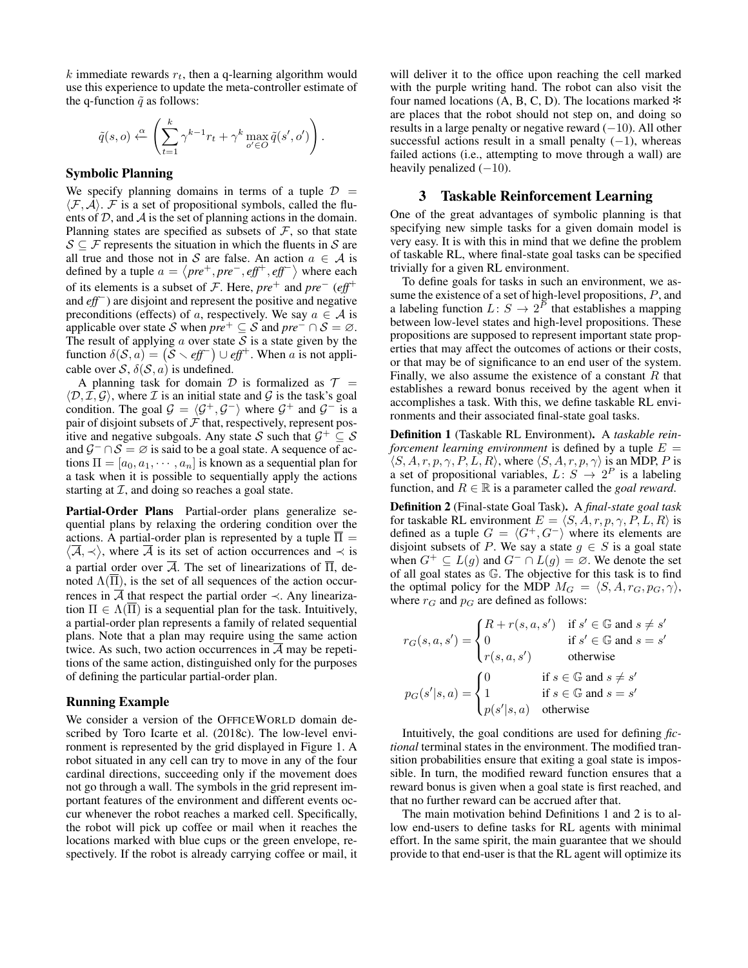$k$  immediate rewards  $r_t$ , then a q-learning algorithm would use this experience to update the meta-controller estimate of the q-function  $\tilde{q}$  as follows:

$$
\tilde{q}(s, o) \xleftarrow{\alpha} \left( \sum_{t=1}^k \gamma^{k-1} r_t + \gamma^k \max_{o' \in O} \tilde{q}(s', o') \right)
$$

.

#### Symbolic Planning

We specify planning domains in terms of a tuple  $\mathcal{D}$  =  $\langle \mathcal{F}, \mathcal{A} \rangle$ . F is a set of propositional symbols, called the fluents of  $D$ , and  $A$  is the set of planning actions in the domain. Planning states are specified as subsets of  $\mathcal{F}$ , so that state  $S \subseteq \mathcal{F}$  represents the situation in which the fluents in S are all true and those not in S are false. An action  $a \in \mathcal{A}$  is defined by a tuple  $a = \langle pre^+, pre^-, eff^+, eff^- \rangle$  where each of its elements is a subset of  $\mathcal{F}$ . Here,  $pre^+$  and  $pre^-$  ( $eff^+$ and *eff*−) are disjoint and represent the positive and negative preconditions (effects) of a, respectively. We say  $a \in A$  is applicable over state S when  $pre^+ \subseteq S$  and  $pre^- \cap S = \emptyset$ . The result of applying  $\alpha$  over state  $\beta$  is a state given by the function  $\delta(S, a) = (S \setminus \text{eff}^-) \cup \text{eff}^+$ . When a is not applicable over  $S$ ,  $\delta(S, a)$  is undefined.

A planning task for domain D is formalized as  $T =$  $\langle \mathcal{D}, \mathcal{I}, \mathcal{G} \rangle$ , where  $\mathcal I$  is an initial state and  $\mathcal G$  is the task's goal condition. The goal  $G = \langle G^+, G^- \rangle$  where  $G^+$  and  $G^-$  is a pair of disjoint subsets of  $\mathcal F$  that, respectively, represent positive and negative subgoals. Any state S such that  $\mathcal{G}^+ \subseteq \mathcal{S}$ and  $\mathcal{G}^- \cap \mathcal{S} = \emptyset$  is said to be a goal state. A sequence of actions  $\Pi = [a_0, a_1, \dots, a_n]$  is known as a sequential plan for a task when it is possible to sequentially apply the actions starting at  $I$ , and doing so reaches a goal state.

Partial-Order Plans Partial-order plans generalize sequential plans by relaxing the ordering condition over the actions. A partial-order plan is represented by a tuple  $\Pi =$  $\langle \overline{A}, \prec \rangle$ , where  $\overline{A}$  is its set of action occurrences and  $\prec$  is a partial order over  $\overline{A}$ . The set of linearizations of  $\overline{\Pi}$ , denoted  $\Lambda(\overline{\Pi})$ , is the set of all sequences of the action occurrences in  $\overline{A}$  that respect the partial order  $\prec$ . Any linearization  $\Pi \in \Lambda(\Pi)$  is a sequential plan for the task. Intuitively, a partial-order plan represents a family of related sequential plans. Note that a plan may require using the same action twice. As such, two action occurrences in  $\overline{A}$  may be repetitions of the same action, distinguished only for the purposes of defining the particular partial-order plan.

#### Running Example

We consider a version of the OFFICEWORLD domain described by Toro Icarte et al. (2018c). The low-level environment is represented by the grid displayed in Figure 1. A robot situated in any cell can try to move in any of the four cardinal directions, succeeding only if the movement does not go through a wall. The symbols in the grid represent important features of the environment and different events occur whenever the robot reaches a marked cell. Specifically, the robot will pick up coffee or mail when it reaches the locations marked with blue cups or the green envelope, respectively. If the robot is already carrying coffee or mail, it

will deliver it to the office upon reaching the cell marked with the purple writing hand. The robot can also visit the four named locations (A, B, C, D). The locations marked  $*$ are places that the robot should not step on, and doing so results in a large penalty or negative reward  $(-10)$ . All other successful actions result in a small penalty  $(-1)$ , whereas failed actions (i.e., attempting to move through a wall) are heavily penalized  $(-10)$ .

#### 3 Taskable Reinforcement Learning

One of the great advantages of symbolic planning is that specifying new simple tasks for a given domain model is very easy. It is with this in mind that we define the problem of taskable RL, where final-state goal tasks can be specified trivially for a given RL environment.

To define goals for tasks in such an environment, we assume the existence of a set of high-level propositions, P, and a labeling function  $L: S \to 2^P$  that establishes a mapping between low-level states and high-level propositions. These propositions are supposed to represent important state properties that may affect the outcomes of actions or their costs, or that may be of significance to an end user of the system. Finally, we also assume the existence of a constant  $R$  that establishes a reward bonus received by the agent when it accomplishes a task. With this, we define taskable RL environments and their associated final-state goal tasks.

Definition 1 (Taskable RL Environment). A *taskable reinforcement learning environment* is defined by a tuple  $E =$  $\langle S, A, r, p, \gamma, P, L, R \rangle$ , where  $\langle S, A, r, p, \gamma \rangle$  is an MDP, P is a set of propositional variables,  $L: S \rightarrow 2^P$  is a labeling function, and  $R \in \mathbb{R}$  is a parameter called the *goal reward*.

Definition 2 (Final-state Goal Task). A *final-state goal task* for taskable RL environment  $E = \langle S, A, r, p, \gamma, P, L, R \rangle$  is defined as a tuple  $G = \langle G^+, G^- \rangle$  where its elements are disjoint subsets of P. We say a state  $g \in S$  is a goal state when  $G^+ \subseteq L(g)$  and  $G^- \cap L(g) = \emptyset$ . We denote the set of all goal states as G. The objective for this task is to find the optimal policy for the MDP  $M_G = \langle S, A, r_G, p_G, \gamma \rangle$ , where  $r_G$  and  $p_G$  are defined as follows:

$$
r_G(s, a, s') = \begin{cases} R + r(s, a, s') & \text{if } s' \in \mathbb{G} \text{ and } s \neq s' \\ 0 & \text{if } s' \in \mathbb{G} \text{ and } s = s' \\ r(s, a, s') & \text{otherwise} \end{cases}
$$

$$
p_G(s'|s, a) = \begin{cases} 0 & \text{if } s \in \mathbb{G} \text{ and } s \neq s' \\ 1 & \text{if } s \in \mathbb{G} \text{ and } s = s' \\ p(s'|s, a) & \text{otherwise} \end{cases}
$$

Intuitively, the goal conditions are used for defining *fictional* terminal states in the environment. The modified transition probabilities ensure that exiting a goal state is impossible. In turn, the modified reward function ensures that a reward bonus is given when a goal state is first reached, and that no further reward can be accrued after that.

The main motivation behind Definitions 1 and 2 is to allow end-users to define tasks for RL agents with minimal effort. In the same spirit, the main guarantee that we should provide to that end-user is that the RL agent will optimize its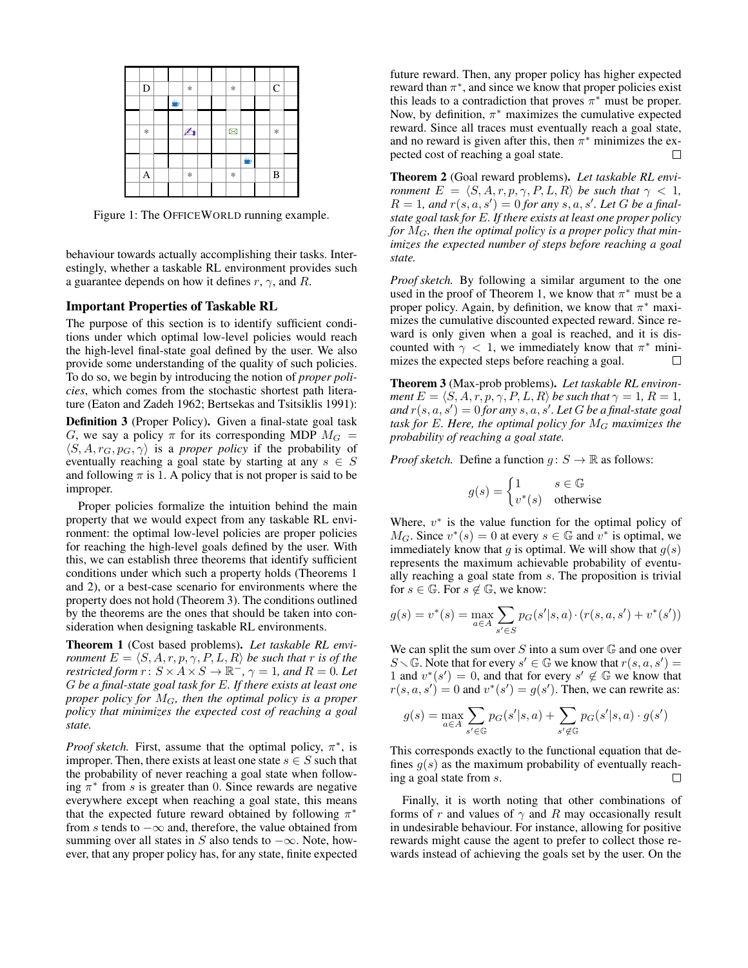

Figure 1: The OFFICEWORLD running example.

behaviour towards actually accomplishing their tasks. Interestingly, whether a taskable RL environment provides such a guarantee depends on how it defines  $r, \gamma$ , and R.

### Important Properties of Taskable RL

The purpose of this section is to identify sufficient conditions under which optimal low-level policies would reach the high-level final-state goal defined by the user. We also provide some understanding of the quality of such policies. To do so, we begin by introducing the notion of *proper policies*, which comes from the stochastic shortest path literature (Eaton and Zadeh 1962; Bertsekas and Tsitsiklis 1991):

Definition 3 (Proper Policy). Given a final-state goal task G, we say a policy  $\pi$  for its corresponding MDP  $M_G$  =  $\langle S, A, r_G, p_G, \gamma \rangle$  is a *proper policy* if the probability of eventually reaching a goal state by starting at any  $s \in S$ and following  $\pi$  is 1. A policy that is not proper is said to be improper.

Proper policies formalize the intuition behind the main property that we would expect from any taskable RL environment: the optimal low-level policies are proper policies for reaching the high-level goals defined by the user. With this, we can establish three theorems that identify sufficient conditions under which such a property holds (Theorems 1 and 2), or a best-case scenario for environments where the property does not hold (Theorem 3). The conditions outlined by the theorems are the ones that should be taken into consideration when designing taskable RL environments.

Theorem 1 (Cost based problems). *Let taskable RL environment*  $E = \langle S, A, r, p, \gamma, P, L, R \rangle$  *be such that* r *is of the restricted form*  $r: S \times A \times S \to \mathbb{R}^-, \gamma = 1$ *, and*  $R = 0$ *. Let* G *be a final-state goal task for* E*. If there exists at least one proper policy for* MG*, then the optimal policy is a proper policy that minimizes the expected cost of reaching a goal state.*

*Proof sketch.* First, assume that the optimal policy,  $\pi^*$ , is improper. Then, there exists at least one state  $s \in S$  such that the probability of never reaching a goal state when following  $\pi^*$  from s is greater than 0. Since rewards are negative everywhere except when reaching a goal state, this means that the expected future reward obtained by following  $\pi^*$ from s tends to  $-\infty$  and, therefore, the value obtained from summing over all states in S also tends to  $-\infty$ . Note, however, that any proper policy has, for any state, finite expected future reward. Then, any proper policy has higher expected reward than  $\pi^*$ , and since we know that proper policies exist this leads to a contradiction that proves  $\pi^*$  must be proper. Now, by definition,  $\pi^*$  maximizes the cumulative expected reward. Since all traces must eventually reach a goal state, and no reward is given after this, then  $\pi^*$  minimizes the expected cost of reaching a goal state.  $\Box$ 

Theorem 2 (Goal reward problems). *Let taskable RL environment*  $E = \langle S, A, r, p, \gamma, P, L, R \rangle$  *be such that*  $\gamma < 1$ *,*  $R = 1$ , and  $r(s, a, s') = 0$  for any  $s, a, s'$ . Let G be a final*state goal task for* E*. If there exists at least one proper policy for* MG*, then the optimal policy is a proper policy that minimizes the expected number of steps before reaching a goal state.*

*Proof sketch.* By following a similar argument to the one used in the proof of Theorem 1, we know that  $\pi^*$  must be a proper policy. Again, by definition, we know that  $\pi^*$  maximizes the cumulative discounted expected reward. Since reward is only given when a goal is reached, and it is discounted with  $\gamma$  < 1, we immediately know that  $\pi^*$  minimizes the expected steps before reaching a goal.  $\Box$ 

Theorem 3 (Max-prob problems). *Let taskable RL environment*  $E = \langle S, A, r, p, \gamma, P, L, R \rangle$  *be such that*  $\gamma = 1, R = 1$ *,*  $and r(s, a, s') = 0$  *for any*  $s, a, s'.$  *Let*  $G$  *be a final-state goal task for* E*. Here, the optimal policy for* M<sup>G</sup> *maximizes the probability of reaching a goal state.*

*Proof sketch.* Define a function  $g: S \to \mathbb{R}$  as follows:

$$
g(s) = \begin{cases} 1 & s \in \mathbb{G} \\ v^*(s) & \text{otherwise} \end{cases}
$$

Where,  $v^*$  is the value function for the optimal policy of  $M_G$ . Since  $v^*(s) = 0$  at every  $s \in \mathbb{G}$  and  $v^*$  is optimal, we immediately know that g is optimal. We will show that  $g(s)$ represents the maximum achievable probability of eventually reaching a goal state from s. The proposition is trivial for  $s \in \mathbb{G}$ . For  $s \notin \mathbb{G}$ , we know:

$$
g(s) = v^*(s) = \max_{a \in A} \sum_{s' \in S} p_G(s'|s, a) \cdot (r(s, a, s') + v^*(s'))
$$

We can split the sum over  $S$  into a sum over  $\mathbb G$  and one over  $S \setminus \mathbb{G}$ . Note that for every  $s' \in \mathbb{G}$  we know that  $r(s, a, s') =$ 1 and  $v^*(s') = 0$ , and that for every  $s' \notin \mathbb{G}$  we know that  $r(s, a, s') = 0$  and  $v^*(s') = g(s')$ . Then, we can rewrite as:

$$
g(s) = \max_{a \in A} \sum_{s' \in \mathbb{G}} p_G(s'|s, a) + \sum_{s' \notin \mathbb{G}} p_G(s'|s, a) \cdot g(s')
$$

This corresponds exactly to the functional equation that defines  $g(s)$  as the maximum probability of eventually reaching a goal state from s.  $\Box$ 

Finally, it is worth noting that other combinations of forms of r and values of  $\gamma$  and R may occasionally result in undesirable behaviour. For instance, allowing for positive rewards might cause the agent to prefer to collect those rewards instead of achieving the goals set by the user. On the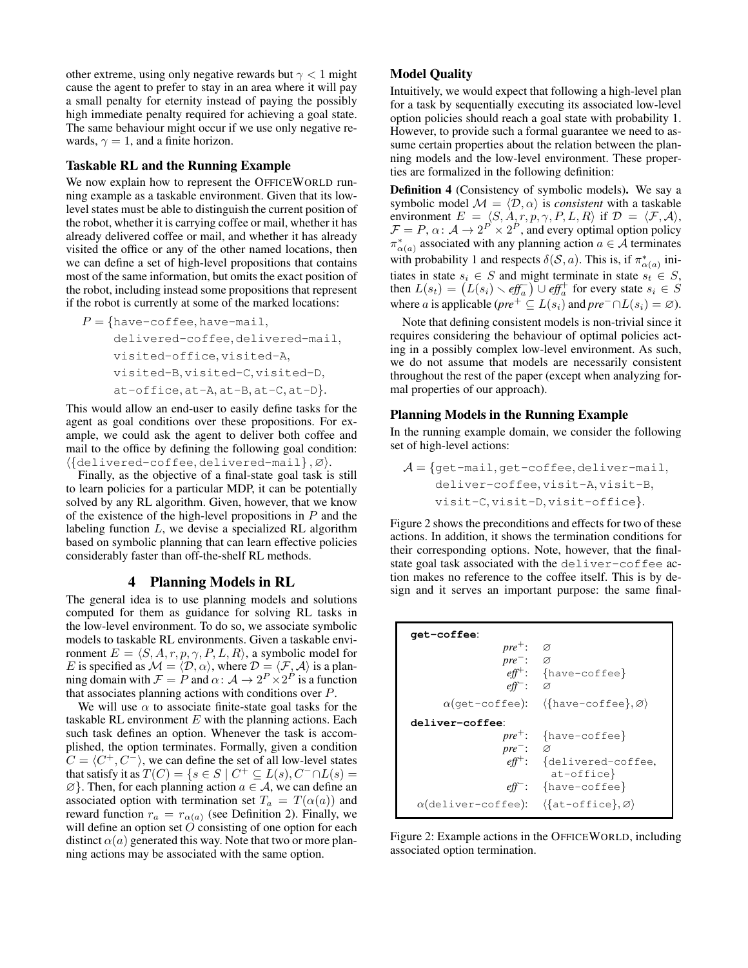other extreme, using only negative rewards but  $\gamma$  < 1 might cause the agent to prefer to stay in an area where it will pay a small penalty for eternity instead of paying the possibly high immediate penalty required for achieving a goal state. The same behaviour might occur if we use only negative rewards,  $\gamma = 1$ , and a finite horizon.

### Taskable RL and the Running Example

We now explain how to represent the OFFICEWORLD running example as a taskable environment. Given that its lowlevel states must be able to distinguish the current position of the robot, whether it is carrying coffee or mail, whether it has already delivered coffee or mail, and whether it has already visited the office or any of the other named locations, then we can define a set of high-level propositions that contains most of the same information, but omits the exact position of the robot, including instead some propositions that represent if the robot is currently at some of the marked locations:

$$
P = \{ \text{have-cofree}, \text{have-mail},
$$

```
delivered-coffee, delivered-mail,
visited-office, visited-A,
visited-B, visited-C, visited-D,
at-office, at-A, at-B, at-C, at-D}.
```
This would allow an end-user to easily define tasks for the agent as goal conditions over these propositions. For example, we could ask the agent to deliver both coffee and mail to the office by defining the following goal condition:  $\langle \{\text{delivered-cofree}, \text{delivered-mail}\}, \varnothing \rangle.$ 

Finally, as the objective of a final-state goal task is still to learn policies for a particular MDP, it can be potentially solved by any RL algorithm. Given, however, that we know of the existence of the high-level propositions in  $P$  and the labeling function  $L$ , we devise a specialized RL algorithm based on symbolic planning that can learn effective policies considerably faster than off-the-shelf RL methods.

### 4 Planning Models in RL

The general idea is to use planning models and solutions computed for them as guidance for solving RL tasks in the low-level environment. To do so, we associate symbolic models to taskable RL environments. Given a taskable environment  $E = \langle S, A, r, p, \gamma, P, L, R \rangle$ , a symbolic model for E is specified as  $\mathcal{M} = \langle \mathcal{D}, \alpha \rangle$ , where  $\mathcal{D} = \langle \mathcal{F}, \mathcal{A} \rangle$  is a planning domain with  $\mathcal{F} = P$  and  $\alpha: \mathcal{A} \to 2^P \times 2^P$  is a function that associates planning actions with conditions over P.

We will use  $\alpha$  to associate finite-state goal tasks for the taskable RL environment  $E$  with the planning actions. Each such task defines an option. Whenever the task is accomplished, the option terminates. Formally, given a condition  $C = \langle C^+, C^-\rangle$ , we can define the set of all low-level states that satisfy it as  $T(C) = \{ s \in S \mid C^+ \subseteq L(s), C^- \cap L(s) =$  $\emptyset$ . Then, for each planning action  $a \in \mathcal{A}$ , we can define an associated option with termination set  $T_a = T(\alpha(a))$  and reward function  $r_a = r_{\alpha(a)}$  (see Definition 2). Finally, we will define an option set  $O$  consisting of one option for each distinct  $\alpha(a)$  generated this way. Note that two or more planning actions may be associated with the same option.

### Model Quality

Intuitively, we would expect that following a high-level plan for a task by sequentially executing its associated low-level option policies should reach a goal state with probability 1. However, to provide such a formal guarantee we need to assume certain properties about the relation between the planning models and the low-level environment. These properties are formalized in the following definition:

Definition 4 (Consistency of symbolic models). We say a symbolic model  $M = \langle \mathcal{D}, \alpha \rangle$  is *consistent* with a taskable environment  $E = \langle S, A, r, p, \gamma, P, L, R \rangle$  if  $\mathcal{D} = \langle \mathcal{F}, \mathcal{A} \rangle$ ,  $\mathcal{F} = P$ ,  $\alpha \colon \mathcal{A} \to 2^P \times 2^P$ , and every optimal option policy  $\pi_{\alpha(a)}^*$  associated with any planning action  $a \in \hat{\mathcal{A}}$  terminates with probability 1 and respects  $\delta(S, a)$ . This is, if  $\pi^*_{\alpha(a)}$  initiates in state  $s_i \in S$  and might terminate in state  $s_i \in S$ , then  $L(s_t) = (L(s_i) \setminus \text{eff}^-_a) \cup \text{eff}^+_a$  for every state  $s_i \in S$ where *a* is applicable (*pre*<sup>+</sup>  $\subseteq L(s_i)$  and *pre*<sup>−</sup> ∩ $L(s_i) = \emptyset$ ).

Note that defining consistent models is non-trivial since it requires considering the behaviour of optimal policies acting in a possibly complex low-level environment. As such, we do not assume that models are necessarily consistent throughout the rest of the paper (except when analyzing formal properties of our approach).

# Planning Models in the Running Example

In the running example domain, we consider the following set of high-level actions:

$$
\mathcal{A} = \{ \text{get-mail}, \text{get-coffee}, \text{deliver-mail}, \\ \text{deliver-coffee}, \text{visit-A}, \text{visit-B}, \\ \text{visit-C}, \text{visit-D}, \text{visit-office} \}.
$$

Figure 2 shows the preconditions and effects for two of these actions. In addition, it shows the termination conditions for their corresponding options. Note, however, that the finalstate goal task associated with the deliver-coffee action makes no reference to the coffee itself. This is by design and it serves an important purpose: the same final-

| qet-coffee:                                                                    |                                                                      |
|--------------------------------------------------------------------------------|----------------------------------------------------------------------|
| $pre^+$ :                                                                      | - Ø                                                                  |
| $pre^-: \quad \varnothing$                                                     |                                                                      |
|                                                                                | $\textit{eff}^+$ : {have-coffee}                                     |
| $\mathit{eff}^-$ : $\varnothing$                                               |                                                                      |
|                                                                                | $\alpha$ (get-coffee): $\langle$ {have-coffee}, $\varnothing\rangle$ |
| deliver-coffee:                                                                |                                                                      |
|                                                                                | $pre^+$ : {have-coffee}                                              |
| $pre^-: \quad \varnothing$                                                     |                                                                      |
|                                                                                | $\ell f f^{\dagger}$ : {delivered-coffee,<br>$at-offace$             |
|                                                                                | $eff^-$ : {have-coffee}                                              |
| $\alpha$ (deliver-coffee): $\langle \{\text{at-office}\}, \varnothing \rangle$ |                                                                      |

Figure 2: Example actions in the OFFICEWORLD, including associated option termination.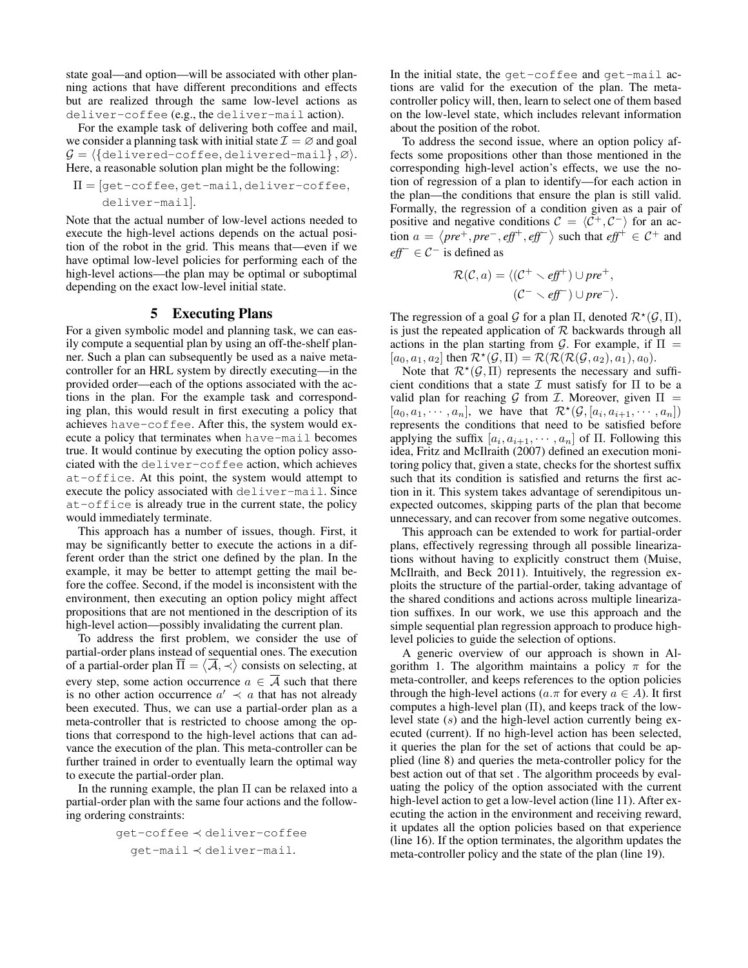state goal—and option—will be associated with other planning actions that have different preconditions and effects but are realized through the same low-level actions as deliver-coffee (e.g., the deliver-mail action).

For the example task of delivering both coffee and mail, we consider a planning task with initial state  $\mathcal{I} = \emptyset$  and goal  $G = \{\{\text{delivered-cofree}, \text{delivered-mail}\}, \varnothing\}.$ Here, a reasonable solution plan might be the following:

$$
\Pi = [get-coffee, get-mail, deliver-coffee, deliver-mail].
$$

Note that the actual number of low-level actions needed to execute the high-level actions depends on the actual position of the robot in the grid. This means that—even if we have optimal low-level policies for performing each of the high-level actions—the plan may be optimal or suboptimal depending on the exact low-level initial state.

# 5 Executing Plans

For a given symbolic model and planning task, we can easily compute a sequential plan by using an off-the-shelf planner. Such a plan can subsequently be used as a naive metacontroller for an HRL system by directly executing—in the provided order—each of the options associated with the actions in the plan. For the example task and corresponding plan, this would result in first executing a policy that achieves have-coffee. After this, the system would execute a policy that terminates when have-mail becomes true. It would continue by executing the option policy associated with the deliver-coffee action, which achieves at-office. At this point, the system would attempt to execute the policy associated with deliver-mail. Since at-office is already true in the current state, the policy would immediately terminate.

This approach has a number of issues, though. First, it may be significantly better to execute the actions in a different order than the strict one defined by the plan. In the example, it may be better to attempt getting the mail before the coffee. Second, if the model is inconsistent with the environment, then executing an option policy might affect propositions that are not mentioned in the description of its high-level action—possibly invalidating the current plan.

To address the first problem, we consider the use of partial-order plans instead of sequential ones. The execution of a partial-order plan  $\overline{\Pi} = \langle \overline{\mathcal{A}}, \overline{\prec} \rangle$  consists on selecting, at every step, some action occurrence  $a \in \overline{A}$  such that there is no other action occurrence  $a' \prec a$  that has not already been executed. Thus, we can use a partial-order plan as a meta-controller that is restricted to choose among the options that correspond to the high-level actions that can advance the execution of the plan. This meta-controller can be further trained in order to eventually learn the optimal way to execute the partial-order plan.

In the running example, the plan  $\Pi$  can be relaxed into a partial-order plan with the same four actions and the following ordering constraints:

get-coffee 
$$
\prec
$$
 deliver-coffee  
get-mail  $\prec$  deliver-mail.

In the initial state, the get-coffee and get-mail actions are valid for the execution of the plan. The metacontroller policy will, then, learn to select one of them based on the low-level state, which includes relevant information about the position of the robot.

To address the second issue, where an option policy affects some propositions other than those mentioned in the corresponding high-level action's effects, we use the notion of regression of a plan to identify—for each action in the plan—the conditions that ensure the plan is still valid. Formally, the regression of a condition given as a pair of positive and negative conditions  $C = \langle C^+, C^- \rangle$  for an action  $a = \langle pre^+, pre^-, eff^+, eff^- \rangle$  such that  $eff^+ \in C^+$  and *eff*<sup>−</sup> ∈  $C$ <sup>−</sup> is defined as

$$
\mathcal{R}(\mathcal{C}, a) = \langle (\mathcal{C}^+ \smallsetminus \mathit{eff}^+) \cup \mathit{pre}^+, (\mathcal{C}^- \smallsetminus \mathit{eff}^-) \cup \mathit{pre}^- \rangle.
$$

The regression of a goal  $\mathcal G$  for a plan  $\Pi$ , denoted  $\mathcal R^*(\mathcal G,\Pi)$ , is just the repeated application of  $R$  backwards through all actions in the plan starting from G. For example, if  $\Pi =$  $[a_0, a_1, a_2]$  then  $\mathcal{R}^{\star}(\mathcal{G}, \Pi) = \mathcal{R}(\mathcal{R}(\mathcal{R}(\mathcal{G}, a_2), a_1), a_0).$ 

Note that  $\mathcal{R}^*(\mathcal{G}, \Pi)$  represents the necessary and sufficient conditions that a state  $\mathcal I$  must satisfy for  $\Pi$  to be a valid plan for reaching G from T. Moreover, given  $\Pi =$  $[a_0, a_1, \cdots, a_n]$ , we have that  $\mathcal{R}^*(\mathcal{G}, [a_i, a_{i+1}, \cdots, a_n])$ represents the conditions that need to be satisfied before applying the suffix  $[a_i, a_{i+1}, \dots, a_n]$  of  $\Pi$ . Following this idea, Fritz and McIlraith (2007) defined an execution monitoring policy that, given a state, checks for the shortest suffix such that its condition is satisfied and returns the first action in it. This system takes advantage of serendipitous unexpected outcomes, skipping parts of the plan that become unnecessary, and can recover from some negative outcomes.

This approach can be extended to work for partial-order plans, effectively regressing through all possible linearizations without having to explicitly construct them (Muise, McIlraith, and Beck 2011). Intuitively, the regression exploits the structure of the partial-order, taking advantage of the shared conditions and actions across multiple linearization suffixes. In our work, we use this approach and the simple sequential plan regression approach to produce highlevel policies to guide the selection of options.

A generic overview of our approach is shown in Algorithm 1. The algorithm maintains a policy  $\pi$  for the meta-controller, and keeps references to the option policies through the high-level actions ( $a.\pi$  for every  $a \in A$ ). It first computes a high-level plan  $(\Pi)$ , and keeps track of the lowlevel state (s) and the high-level action currently being executed (current). If no high-level action has been selected, it queries the plan for the set of actions that could be applied (line 8) and queries the meta-controller policy for the best action out of that set . The algorithm proceeds by evaluating the policy of the option associated with the current high-level action to get a low-level action (line 11). After executing the action in the environment and receiving reward, it updates all the option policies based on that experience (line 16). If the option terminates, the algorithm updates the meta-controller policy and the state of the plan (line 19).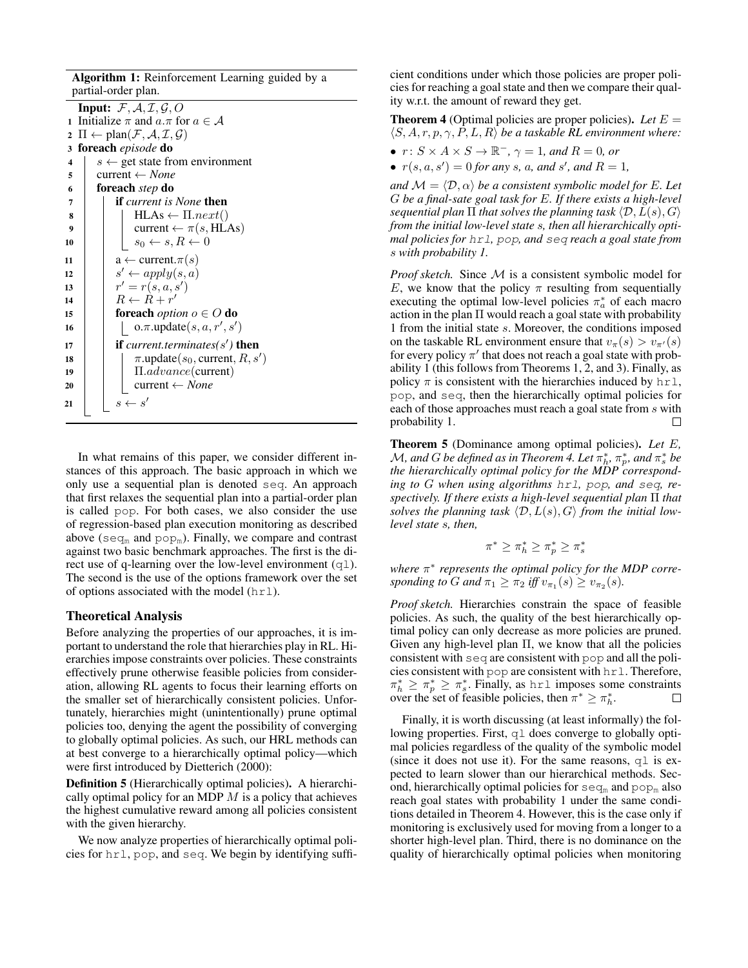Algorithm 1: Reinforcement Learning guided by a partial-order plan.

| <b>Input:</b> $\mathcal{F}, \mathcal{A}, \mathcal{I}, \mathcal{G}, O$ |                                                                                    |  |  |
|-----------------------------------------------------------------------|------------------------------------------------------------------------------------|--|--|
|                                                                       | 1 Initialize $\pi$ and $a.\pi$ for $a \in \mathcal{A}$                             |  |  |
|                                                                       | 2 $\Pi \leftarrow \text{plan}(\mathcal{F}, \mathcal{A}, \mathcal{I}, \mathcal{G})$ |  |  |
|                                                                       | 3 foreach <i>episode</i> do                                                        |  |  |
| $\overline{\mathbf{4}}$                                               | $s \leftarrow$ get state from environment                                          |  |  |
| 5                                                                     | current $\leftarrow$ None                                                          |  |  |
| 6                                                                     | foreach step do                                                                    |  |  |
| 7                                                                     | <b>if</b> current is None <b>then</b>                                              |  |  |
| 8                                                                     | $HLAs \leftarrow \Pi.next()$                                                       |  |  |
| 9                                                                     | current $\leftarrow \pi(s, \text{HLAs})$                                           |  |  |
| 10                                                                    | $s_0 \leftarrow s, R \leftarrow 0$                                                 |  |  |
| 11                                                                    | $a \leftarrow$ current. $\pi(s)$                                                   |  |  |
| 12                                                                    | $s' \leftarrow apply(s, a)$                                                        |  |  |
| 13                                                                    | $r' = r(s, a, s')$                                                                 |  |  |
| 14                                                                    | $R \leftarrow R + r'$                                                              |  |  |
| 15                                                                    | <b>foreach</b> <i>option</i> $o \in O$ <b>do</b>                                   |  |  |
| 16                                                                    | $o.\pi.\text{update}(s, a, r', s')$                                                |  |  |
| 17                                                                    | <b>if</b> current.terminates( $s'$ ) <b>then</b>                                   |  |  |
| 18                                                                    | $\pi$ .update $(s_0,$ current, $R, s'$ )                                           |  |  |
| 19                                                                    | $\Pi.addvance$ (current)                                                           |  |  |
| 20                                                                    | current $\leftarrow$ <i>None</i>                                                   |  |  |
| 21                                                                    | $s \leftarrow s'$                                                                  |  |  |
|                                                                       |                                                                                    |  |  |

In what remains of this paper, we consider different instances of this approach. The basic approach in which we only use a sequential plan is denoted seq. An approach that first relaxes the sequential plan into a partial-order plan is called pop. For both cases, we also consider the use of regression-based plan execution monitoring as described above (seq<sub>m</sub> and pop<sub>m</sub>). Finally, we compare and contrast against two basic benchmark approaches. The first is the direct use of q-learning over the low-level environment  $(q_1)$ . The second is the use of the options framework over the set of options associated with the model  $(hr1)$ .

#### Theoretical Analysis

Before analyzing the properties of our approaches, it is important to understand the role that hierarchies play in RL. Hierarchies impose constraints over policies. These constraints effectively prune otherwise feasible policies from consideration, allowing RL agents to focus their learning efforts on the smaller set of hierarchically consistent policies. Unfortunately, hierarchies might (unintentionally) prune optimal policies too, denying the agent the possibility of converging to globally optimal policies. As such, our HRL methods can at best converge to a hierarchically optimal policy—which were first introduced by Dietterich (2000):

Definition 5 (Hierarchically optimal policies). A hierarchically optimal policy for an MDP  $M$  is a policy that achieves the highest cumulative reward among all policies consistent with the given hierarchy.

We now analyze properties of hierarchically optimal policies for hrl, pop, and seq. We begin by identifying suffi-

cient conditions under which those policies are proper policies for reaching a goal state and then we compare their quality w.r.t. the amount of reward they get.

**Theorem 4** (Optimal policies are proper policies). Let  $E =$  $\langle S, A, r, p, \gamma, P, L, R \rangle$  *be a taskable RL environment where:* 

- $r: S \times A \times S \rightarrow \mathbb{R}^-, \gamma = 1$ *, and*  $R = 0$ *, or*
- $r(s, a, s') = 0$  *for any s, a, and s', and*  $R = 1$ *,*

*and*  $\mathcal{M} = \langle \mathcal{D}, \alpha \rangle$  *be a consistent symbolic model for* E. Let G *be a final-sate goal task for* E*. If there exists a high-level sequential plan*  $\Pi$  *that solves the planning task*  $\langle \mathcal{D}, L(s), G \rangle$ *from the initial low-level state* s*, then all hierarchically optimal policies for* hrl*,* pop*, and* seq *reach a goal state from* s *with probability 1.*

*Proof sketch.* Since M is a consistent symbolic model for E, we know that the policy  $\pi$  resulting from sequentially executing the optimal low-level policies  $\pi_a^*$  of each macro action in the plan  $\Pi$  would reach a goal state with probability 1 from the initial state s. Moreover, the conditions imposed on the taskable RL environment ensure that  $v_\pi(s) > v_{\pi'}(s)$ for every policy  $\pi'$  that does not reach a goal state with probability 1 (this follows from Theorems 1, 2, and 3). Finally, as policy  $\pi$  is consistent with the hierarchies induced by  $hrl$ , pop, and seq, then the hierarchically optimal policies for each of those approaches must reach a goal state from s with probability 1.  $\Box$ 

Theorem 5 (Dominance among optimal policies). *Let* E*,*  $\mathcal M$ , and  $G$  be defined as in Theorem 4. Let  $\pi_h^*,\pi_p^*$ , and  $\pi_s^*$  be *the hierarchically optimal policy for the MDP corresponding to* G *when using algorithms* hrl*,* pop*, and* seq*, respectively. If there exists a high-level sequential plan* Π *that solves the planning task*  $\langle \mathcal{D}, L(s), G \rangle$  *from the initial lowlevel state* s*, then,*

$$
\pi^* \geq \pi^*_h \geq \pi^*_p \geq \pi^*_s
$$

*where* π ∗ *represents the optimal policy for the MDP corresponding to G and*  $\pi_1 \geq \pi_2$  *iff*  $v_{\pi_1}(s) \geq v_{\pi_2}(s)$ *.* 

*Proof sketch.* Hierarchies constrain the space of feasible policies. As such, the quality of the best hierarchically optimal policy can only decrease as more policies are pruned. Given any high-level plan  $\Pi$ , we know that all the policies consistent with seq are consistent with pop and all the policies consistent with pop are consistent with hrl. Therefore,  $\pi_h^* \geq \pi_p^* \geq \pi_s^*$ . Finally, as hrl imposes some constraints over the set of feasible policies, then  $\pi^* \geq \pi_h^*$ .  $\Box$ 

Finally, it is worth discussing (at least informally) the following properties. First,  $q \perp$  does converge to globally optimal policies regardless of the quality of the symbolic model (since it does not use it). For the same reasons,  $q\perp$  is expected to learn slower than our hierarchical methods. Second, hierarchically optimal policies for  $seq_m$  and  $pop_m$  also reach goal states with probability 1 under the same conditions detailed in Theorem 4. However, this is the case only if monitoring is exclusively used for moving from a longer to a shorter high-level plan. Third, there is no dominance on the quality of hierarchically optimal policies when monitoring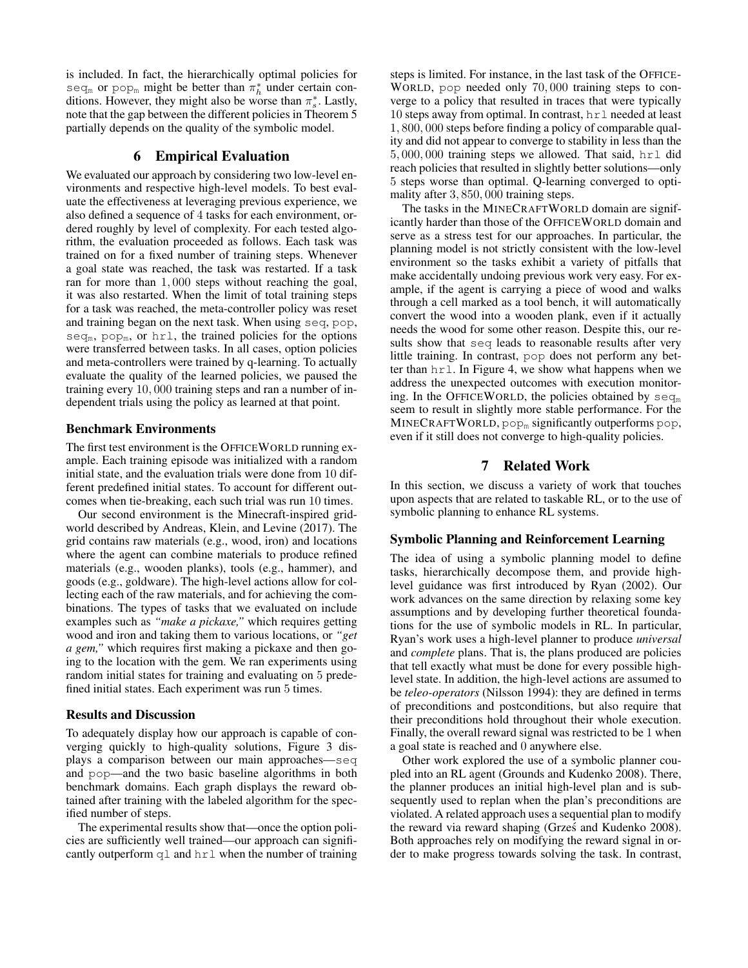is included. In fact, the hierarchically optimal policies for seq<sub>m</sub> or pop<sub>m</sub> might be better than  $\pi_h^*$  under certain conditions. However, they might also be worse than  $\pi_s^*$ . Lastly, note that the gap between the different policies in Theorem 5 partially depends on the quality of the symbolic model.

# 6 Empirical Evaluation

We evaluated our approach by considering two low-level environments and respective high-level models. To best evaluate the effectiveness at leveraging previous experience, we also defined a sequence of 4 tasks for each environment, ordered roughly by level of complexity. For each tested algorithm, the evaluation proceeded as follows. Each task was trained on for a fixed number of training steps. Whenever a goal state was reached, the task was restarted. If a task ran for more than 1, 000 steps without reaching the goal, it was also restarted. When the limit of total training steps for a task was reached, the meta-controller policy was reset and training began on the next task. When using seq, pop,  $seq_m$ , pop<sub>m</sub>, or hrl, the trained policies for the options were transferred between tasks. In all cases, option policies and meta-controllers were trained by q-learning. To actually evaluate the quality of the learned policies, we paused the training every 10, 000 training steps and ran a number of independent trials using the policy as learned at that point.

#### Benchmark Environments

The first test environment is the OFFICEWORLD running example. Each training episode was initialized with a random initial state, and the evaluation trials were done from 10 different predefined initial states. To account for different outcomes when tie-breaking, each such trial was run 10 times.

Our second environment is the Minecraft-inspired gridworld described by Andreas, Klein, and Levine (2017). The grid contains raw materials (e.g., wood, iron) and locations where the agent can combine materials to produce refined materials (e.g., wooden planks), tools (e.g., hammer), and goods (e.g., goldware). The high-level actions allow for collecting each of the raw materials, and for achieving the combinations. The types of tasks that we evaluated on include examples such as *"make a pickaxe,"* which requires getting wood and iron and taking them to various locations, or *"get a gem,"* which requires first making a pickaxe and then going to the location with the gem. We ran experiments using random initial states for training and evaluating on 5 predefined initial states. Each experiment was run 5 times.

#### Results and Discussion

To adequately display how our approach is capable of converging quickly to high-quality solutions, Figure 3 displays a comparison between our main approaches—seq and pop—and the two basic baseline algorithms in both benchmark domains. Each graph displays the reward obtained after training with the labeled algorithm for the specified number of steps.

The experimental results show that—once the option policies are sufficiently well trained—our approach can significantly outperform  $q \perp$  and  $h \perp \perp$  when the number of training steps is limited. For instance, in the last task of the OFFICE-WORLD, pop needed only 70, 000 training steps to converge to a policy that resulted in traces that were typically 10 steps away from optimal. In contrast, hrl needed at least 1, 800, 000 steps before finding a policy of comparable quality and did not appear to converge to stability in less than the 5, 000, 000 training steps we allowed. That said, hrl did reach policies that resulted in slightly better solutions—only 5 steps worse than optimal. Q-learning converged to optimality after 3, 850, 000 training steps.

The tasks in the MINECRAFTWORLD domain are significantly harder than those of the OFFICEWORLD domain and serve as a stress test for our approaches. In particular, the planning model is not strictly consistent with the low-level environment so the tasks exhibit a variety of pitfalls that make accidentally undoing previous work very easy. For example, if the agent is carrying a piece of wood and walks through a cell marked as a tool bench, it will automatically convert the wood into a wooden plank, even if it actually needs the wood for some other reason. Despite this, our results show that seq leads to reasonable results after very little training. In contrast, pop does not perform any better than hrl. In Figure 4, we show what happens when we address the unexpected outcomes with execution monitoring. In the OFFICEWORLD, the policies obtained by  $seq_m$ seem to result in slightly more stable performance. For the  $MINECRAFTWORLD, pop<sub>m</sub>$  significantly outperforms pop, even if it still does not converge to high-quality policies.

# 7 Related Work

In this section, we discuss a variety of work that touches upon aspects that are related to taskable RL, or to the use of symbolic planning to enhance RL systems.

# Symbolic Planning and Reinforcement Learning

The idea of using a symbolic planning model to define tasks, hierarchically decompose them, and provide highlevel guidance was first introduced by Ryan (2002). Our work advances on the same direction by relaxing some key assumptions and by developing further theoretical foundations for the use of symbolic models in RL. In particular, Ryan's work uses a high-level planner to produce *universal* and *complete* plans. That is, the plans produced are policies that tell exactly what must be done for every possible highlevel state. In addition, the high-level actions are assumed to be *teleo-operators* (Nilsson 1994): they are defined in terms of preconditions and postconditions, but also require that their preconditions hold throughout their whole execution. Finally, the overall reward signal was restricted to be 1 when a goal state is reached and 0 anywhere else.

Other work explored the use of a symbolic planner coupled into an RL agent (Grounds and Kudenko 2008). There, the planner produces an initial high-level plan and is subsequently used to replan when the plan's preconditions are violated. A related approach uses a sequential plan to modify the reward via reward shaping (Grześ and Kudenko 2008). Both approaches rely on modifying the reward signal in order to make progress towards solving the task. In contrast,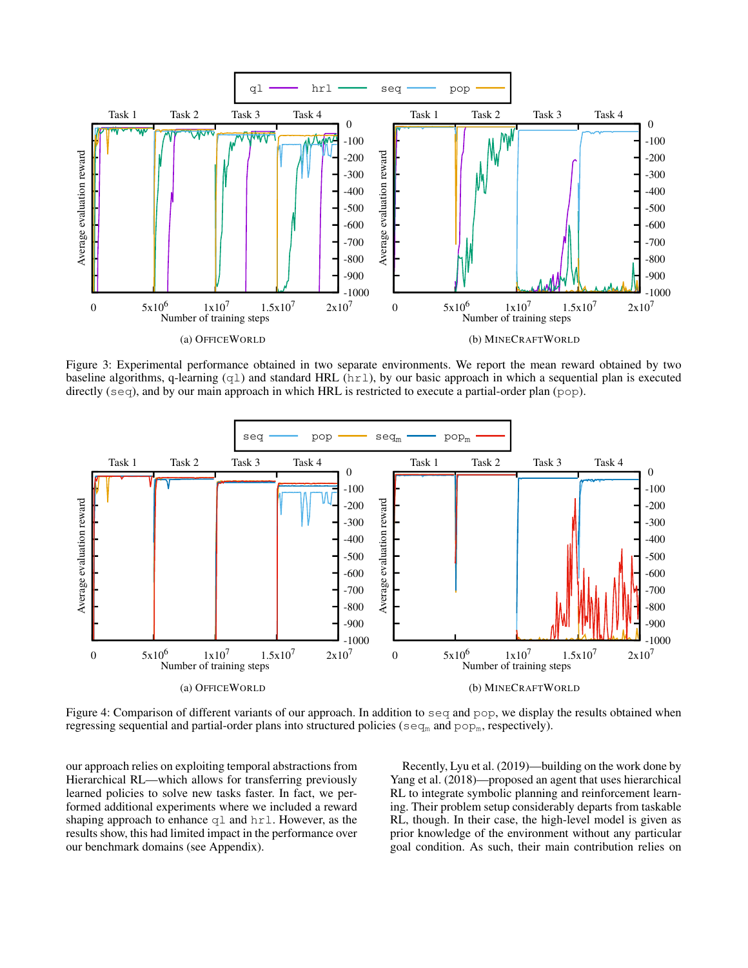

Figure 3: Experimental performance obtained in two separate environments. We report the mean reward obtained by two baseline algorithms, q-learning (ql) and standard HRL (hrl), by our basic approach in which a sequential plan is executed directly (seq), and by our main approach in which HRL is restricted to execute a partial-order plan (pop).



Figure 4: Comparison of different variants of our approach. In addition to seq and pop, we display the results obtained when regressing sequential and partial-order plans into structured policies ( $seq_m$  and  $pop_m$ , respectively).

our approach relies on exploiting temporal abstractions from Hierarchical RL—which allows for transferring previously learned policies to solve new tasks faster. In fact, we performed additional experiments where we included a reward shaping approach to enhance  $q_1$  and  $hr_1$ . However, as the results show, this had limited impact in the performance over our benchmark domains (see Appendix).

Recently, Lyu et al. (2019)—building on the work done by Yang et al. (2018)—proposed an agent that uses hierarchical RL to integrate symbolic planning and reinforcement learning. Their problem setup considerably departs from taskable RL, though. In their case, the high-level model is given as prior knowledge of the environment without any particular goal condition. As such, their main contribution relies on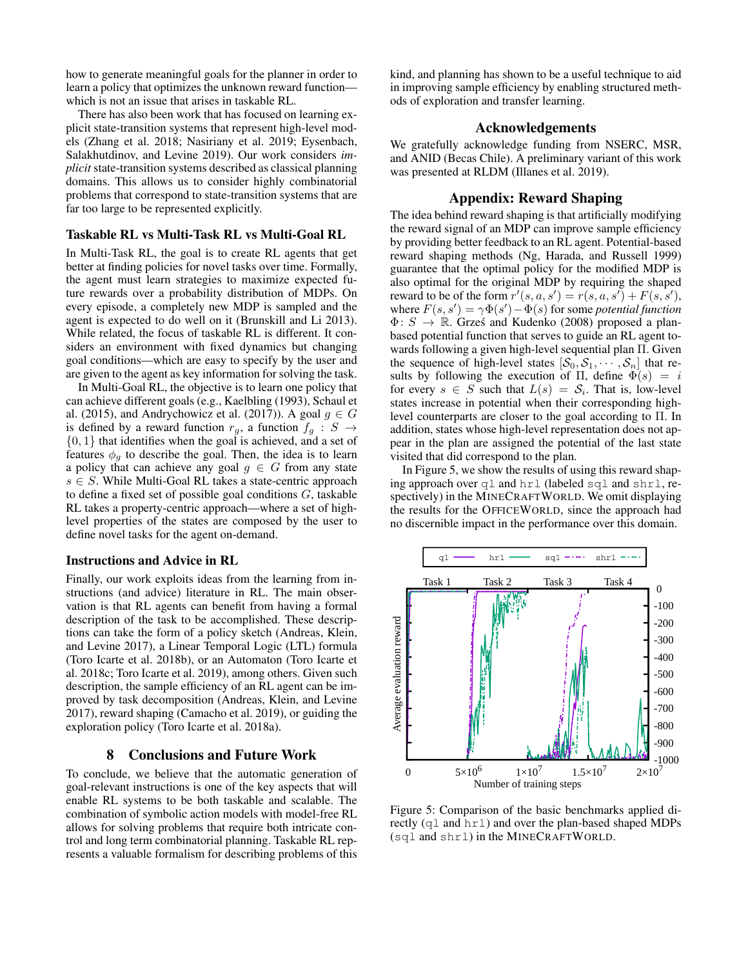how to generate meaningful goals for the planner in order to learn a policy that optimizes the unknown reward function which is not an issue that arises in taskable RL.

There has also been work that has focused on learning explicit state-transition systems that represent high-level models (Zhang et al. 2018; Nasiriany et al. 2019; Eysenbach, Salakhutdinov, and Levine 2019). Our work considers *implicit* state-transition systems described as classical planning domains. This allows us to consider highly combinatorial problems that correspond to state-transition systems that are far too large to be represented explicitly.

#### Taskable RL vs Multi-Task RL vs Multi-Goal RL

In Multi-Task RL, the goal is to create RL agents that get better at finding policies for novel tasks over time. Formally, the agent must learn strategies to maximize expected future rewards over a probability distribution of MDPs. On every episode, a completely new MDP is sampled and the agent is expected to do well on it (Brunskill and Li 2013). While related, the focus of taskable RL is different. It considers an environment with fixed dynamics but changing goal conditions—which are easy to specify by the user and are given to the agent as key information for solving the task.

In Multi-Goal RL, the objective is to learn one policy that can achieve different goals (e.g., Kaelbling (1993), Schaul et al. (2015), and Andrychowicz et al. (2017)). A goal  $g \in G$ is defined by a reward function  $r_g$ , a function  $f_g : S \rightarrow$  $\{0, 1\}$  that identifies when the goal is achieved, and a set of features  $\phi_a$  to describe the goal. Then, the idea is to learn a policy that can achieve any goal  $g \in G$  from any state  $s \in S$ . While Multi-Goal RL takes a state-centric approach to define a fixed set of possible goal conditions G, taskable RL takes a property-centric approach—where a set of highlevel properties of the states are composed by the user to define novel tasks for the agent on-demand.

#### Instructions and Advice in RL

Finally, our work exploits ideas from the learning from instructions (and advice) literature in RL. The main observation is that RL agents can benefit from having a formal description of the task to be accomplished. These descriptions can take the form of a policy sketch (Andreas, Klein, and Levine 2017), a Linear Temporal Logic (LTL) formula (Toro Icarte et al. 2018b), or an Automaton (Toro Icarte et al. 2018c; Toro Icarte et al. 2019), among others. Given such description, the sample efficiency of an RL agent can be improved by task decomposition (Andreas, Klein, and Levine 2017), reward shaping (Camacho et al. 2019), or guiding the exploration policy (Toro Icarte et al. 2018a).

# 8 Conclusions and Future Work

To conclude, we believe that the automatic generation of goal-relevant instructions is one of the key aspects that will enable RL systems to be both taskable and scalable. The combination of symbolic action models with model-free RL allows for solving problems that require both intricate control and long term combinatorial planning. Taskable RL represents a valuable formalism for describing problems of this

kind, and planning has shown to be a useful technique to aid in improving sample efficiency by enabling structured methods of exploration and transfer learning.

# Acknowledgements

We gratefully acknowledge funding from NSERC, MSR, and ANID (Becas Chile). A preliminary variant of this work was presented at RLDM (Illanes et al. 2019).

### Appendix: Reward Shaping

The idea behind reward shaping is that artificially modifying the reward signal of an MDP can improve sample efficiency by providing better feedback to an RL agent. Potential-based reward shaping methods (Ng, Harada, and Russell 1999) guarantee that the optimal policy for the modified MDP is also optimal for the original MDP by requiring the shaped reward to be of the form  $r'(s, a, s') = r(s, a, s') + F(s, s')$ , where  $F(s, s') = \gamma \Phi(s') - \Phi(s)$  for some *potential function*  $\Phi: S \to \mathbb{R}$ . Grześ and Kudenko (2008) proposed a planbased potential function that serves to guide an RL agent towards following a given high-level sequential plan Π. Given the sequence of high-level states  $[\mathcal{S}_0, \mathcal{S}_1, \cdots, \mathcal{S}_n]$  that results by following the execution of Π, define  $\Phi(s) = i$ for every  $s \in S$  such that  $L(s) = S_i$ . That is, low-level states increase in potential when their corresponding highlevel counterparts are closer to the goal according to Π. In addition, states whose high-level representation does not appear in the plan are assigned the potential of the last state visited that did correspond to the plan.

In Figure 5, we show the results of using this reward shaping approach over ql and hrl (labeled sql and shrl, respectively) in the MINECRAFTWORLD. We omit displaying the results for the OFFICEWORLD, since the approach had no discernible impact in the performance over this domain.



Figure 5: Comparison of the basic benchmarks applied directly (ql and hrl) and over the plan-based shaped MDPs (sql and shrl) in the MINECRAFTWORLD.